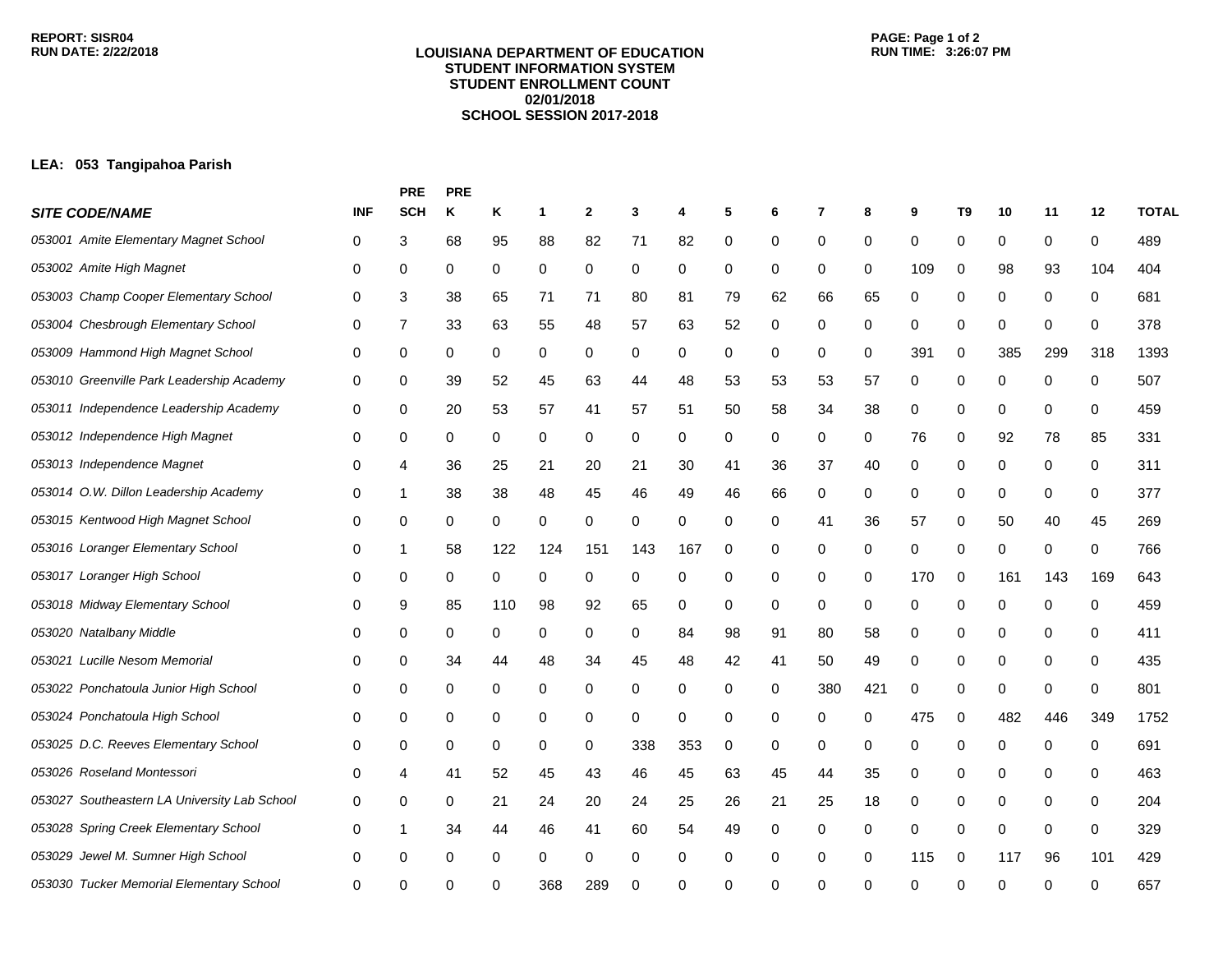## **LOUISIANA DEPARTMENT OF EDUCATION STUDENT INFORMATION SYSTEM STUDENT ENROLLMENT COUNT 02/01/2018 SCHOOL SESSION 2017-2018**

## **LEA: 053 Tangipahoa Parish**

|                                              |              | <b>PRE</b> | <b>PRE</b> |     |     |              |             |     |    |    |     |     |     |                |     |             |     |              |
|----------------------------------------------|--------------|------------|------------|-----|-----|--------------|-------------|-----|----|----|-----|-----|-----|----------------|-----|-------------|-----|--------------|
| <b>SITE CODE/NAME</b>                        | <b>INF</b>   | <b>SCH</b> | κ          | Κ   | 1   | $\mathbf{2}$ | 3           | 4   | 5  | 6  | 7   | 8   | 9   | T <sub>9</sub> | 10  | 11          | 12  | <b>TOTAL</b> |
| 053001 Amite Elementary Magnet School        | 0            | 3          | 68         | 95  | 88  | 82           | 71          | 82  | 0  | 0  | 0   | 0   | 0   | 0              | 0   | 0           | 0   | 489          |
| 053002 Amite High Magnet                     | 0            | 0          | 0          | 0   | 0   | 0            | 0           | 0   | 0  | 0  | 0   | 0   | 109 | 0              | 98  | 93          | 104 | 404          |
| 053003 Champ Cooper Elementary School        | 0            | 3          | 38         | 65  | 71  | 71           | 80          | 81  | 79 | 62 | 66  | 65  | 0   | 0              | 0   | 0           | 0   | 681          |
| 053004 Chesbrough Elementary School          | 0            | 7          | 33         | 63  | 55  | 48           | 57          | 63  | 52 | 0  | 0   | 0   | 0   | 0              | 0   | 0           | 0   | 378          |
| 053009 Hammond High Magnet School            | 0            | 0          | 0          | 0   | 0   | 0            | 0           | 0   | 0  | 0  | 0   | 0   | 391 | 0              | 385 | 299         | 318 | 1393         |
| 053010 Greenville Park Leadership Academy    | 0            | 0          | 39         | 52  | 45  | 63           | 44          | 48  | 53 | 53 | 53  | 57  | 0   | 0              | 0   | 0           | 0   | 507          |
| 053011 Independence Leadership Academy       | 0            | 0          | 20         | 53  | 57  | 41           | 57          | 51  | 50 | 58 | 34  | 38  | 0   | 0              | 0   | 0           | 0   | 459          |
| 053012 Independence High Magnet              | 0            | 0          | 0          | 0   | 0   | 0            | 0           | 0   | 0  | 0  | 0   | 0   | 76  | 0              | 92  | 78          | 85  | 331          |
| 053013 Independence Magnet                   | 0            | 4          | 36         | 25  | 21  | 20           | 21          | 30  | 41 | 36 | 37  | 40  | 0   | 0              | 0   | 0           | 0   | 311          |
| 053014 O.W. Dillon Leadership Academy        | 0            | 1          | 38         | 38  | 48  | 45           | 46          | 49  | 46 | 66 | 0   | 0   | 0   | 0              | 0   | 0           | 0   | 377          |
| 053015 Kentwood High Magnet School           | 0            | 0          | 0          | 0   | 0   | 0            | 0           | 0   | 0  | 0  | 41  | 36  | 57  | 0              | 50  | 40          | 45  | 269          |
| 053016 Loranger Elementary School            | 0            | 1          | 58         | 122 | 124 | 151          | 143         | 167 | 0  | 0  | 0   | 0   | 0   | 0              | 0   | 0           | 0   | 766          |
| 053017 Loranger High School                  | 0            | 0          | 0          | 0   | 0   | 0            | 0           | 0   | 0  | 0  | 0   | 0   | 170 | 0              | 161 | 143         | 169 | 643          |
| 053018 Midway Elementary School              | 0            | 9          | 85         | 110 | 98  | 92           | 65          | 0   | 0  | 0  | 0   | 0   | 0   | 0              | 0   | 0           | 0   | 459          |
| 053020 Natalbany Middle                      | 0            | 0          | 0          | 0   | 0   | 0            | 0           | 84  | 98 | 91 | 80  | 58  | 0   | 0              | 0   | 0           | 0   | 411          |
| 053021 Lucille Nesom Memorial                | 0            | 0          | 34         | 44  | 48  | 34           | 45          | 48  | 42 | 41 | 50  | 49  | 0   | 0              | 0   | 0           | 0   | 435          |
| 053022 Ponchatoula Junior High School        | 0            | 0          | 0          | 0   | 0   | 0            | 0           | 0   | 0  | 0  | 380 | 421 | 0   | 0              | 0   | 0           | 0   | 801          |
| 053024 Ponchatoula High School               | 0            | 0          | 0          | 0   | 0   | 0            | $\mathbf 0$ | 0   | 0  | 0  | 0   | 0   | 475 | 0              | 482 | 446         | 349 | 1752         |
| 053025 D.C. Reeves Elementary School         | 0            | 0          | 0          | 0   | 0   | 0            | 338         | 353 | 0  | 0  | 0   | 0   | 0   | 0              | 0   | 0           | 0   | 691          |
| 053026 Roseland Montessori                   | 0            | 4          | 41         | 52  | 45  | 43           | 46          | 45  | 63 | 45 | 44  | 35  | 0   | 0              | 0   | 0           | 0   | 463          |
| 053027 Southeastern LA University Lab School | 0            | 0          | 0          | 21  | 24  | 20           | 24          | 25  | 26 | 21 | 25  | 18  | 0   | 0              | 0   | 0           | 0   | 204          |
| 053028 Spring Creek Elementary School        | 0            | 1          | 34         | 44  | 46  | 41           | 60          | 54  | 49 | 0  | 0   | 0   | 0   | 0              | 0   | $\mathbf 0$ | 0   | 329          |
| 053029 Jewel M. Sumner High School           | 0            | 0          | 0          | 0   | 0   | 0            | 0           | 0   | 0  | 0  | 0   | 0   | 115 | 0              | 117 | 96          | 101 | 429          |
| 053030 Tucker Memorial Elementary School     | <sup>0</sup> | ∩          | ∩          |     | 368 | 289          | ∩           | U   | 0  | n  | U   | O   | ∩   | ∩              | ∩   | ∩           | ∩   | 657          |